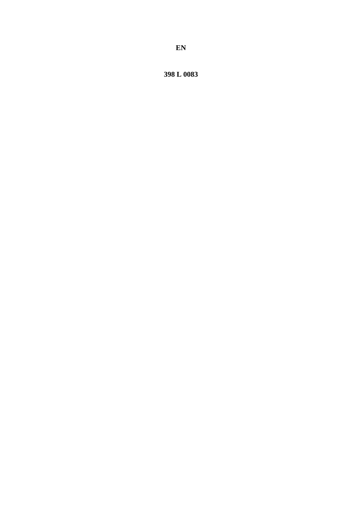398 L 0083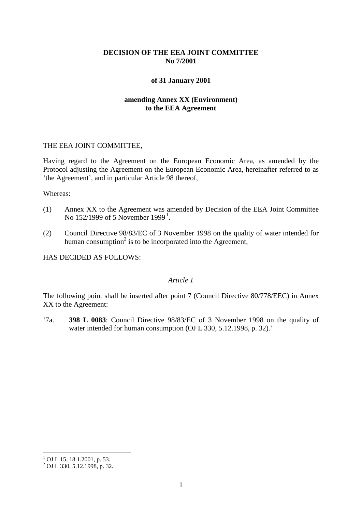# **DECISION OF THE EEA JOINT COMMITTEE No 7/2001**

## **of 31 January 2001**

# **amending Annex XX (Environment) to the EEA Agreement**

#### THE EEA JOINT COMMITTEE,

Having regard to the Agreement on the European Economic Area, as amended by the Protocol adjusting the Agreement on the European Economic Area, hereinafter referred to as 'the Agreement', and in particular Article 98 thereof,

Whereas:

- (1) Annex XX to the Agreement was amended by Decision of the EEA Joint Committee No [1](#page-1-0)52/1999 of 5 November 1999<sup>1</sup>.
- (2) Council Directive 98/83/EC of 3 November 1998 on the quality of water intended for human consumption<sup>2</sup> is to be incorporated into the Agreement,

HAS DECIDED AS FOLLOWS:

# *Article 1*

The following point shall be inserted after point 7 (Council Directive 80/778/EEC) in Annex XX to the Agreement:

'7a. **398 L 0083**: Council Directive 98/83/EC of 3 November 1998 on the quality of water intended for human consumption (OJ L 330, 5.12.1998, p. 32).'

 $1$  OJ L 15, 18.1.2001, p. 53.

<span id="page-1-0"></span> $^{2}$  OJ L 330, 5.12.1998, p. 32.